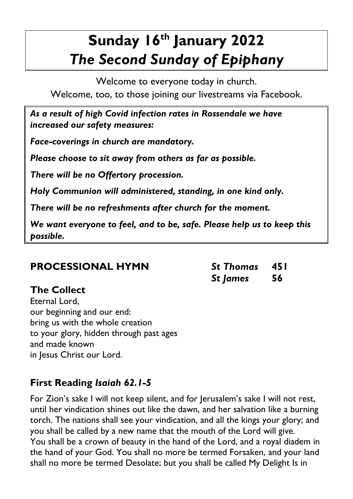# **Sunday 16th January 2022** *The Second Sunday of Epiphany*

Welcome to everyone today in church. Welcome, too, to those joining our livestreams via Facebook.

*As a result of high Covid infection rates in Rossendale we have increased our safety measures:*

*Face-coverings in church are mandatory.*

*Please choose to sit away from others as far as possible.*

*There will be no Offertory procession.* 

*Holy Communion will administered, standing, in one kind only.*

*There will be no refreshments after church for the moment.*

*We want everyone to feel, and to be, safe. Please help us to keep this possible.*

# **PROCESSIONAL HYMN** *St Thomas* **451**

## **The Collect**

Eternal Lord, our beginning and our end: bring us with the whole creation to your glory, hidden through past ages and made known in Jesus Christ our Lord.

# **First Reading** *Isaiah 62.1-5*

For Zion's sake I will not keep silent, and for Jerusalem's sake I will not rest, until her vindication shines out like the dawn, and her salvation like a burning torch. The nations shall see your vindication, and all the kings your glory; and you shall be called by a new name that the mouth of the Lord will give. You shall be a crown of beauty in the hand of the Lord, and a royal diadem in the hand of your God. You shall no more be termed Forsaken, and your land shall no more be termed Desolate; but you shall be called My Delight Is in

*St James* **56**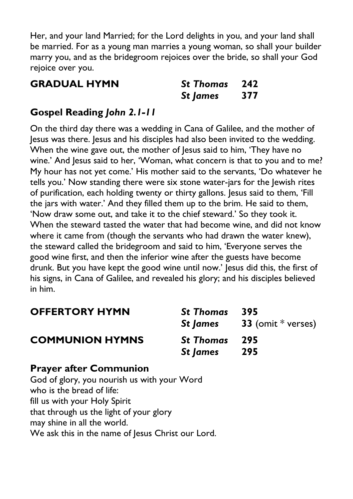Her, and your land Married; for the Lord delights in you, and your land shall be married. For as a young man marries a young woman, so shall your builder marry you, and as the bridegroom rejoices over the bride, so shall your God rejoice over you.

| <b>GRADUAL HYMN</b> | St Thomas 242 |  |
|---------------------|---------------|--|
|                     | St James 377  |  |

### **Gospel Reading** *John 2.1-11*

On the third day there was a wedding in Cana of Galilee, and the mother of Jesus was there. Jesus and his disciples had also been invited to the wedding. When the wine gave out, the mother of lesus said to him, 'They have no wine.' And Jesus said to her, 'Woman, what concern is that to you and to me? My hour has not yet come.' His mother said to the servants, 'Do whatever he tells you.' Now standing there were six stone water-jars for the Jewish rites of purification, each holding twenty or thirty gallons. Jesus said to them, 'Fill the jars with water.' And they filled them up to the brim. He said to them, 'Now draw some out, and take it to the chief steward.' So they took it. When the steward tasted the water that had become wine, and did not know where it came from (though the servants who had drawn the water knew), the steward called the bridegroom and said to him, 'Everyone serves the good wine first, and then the inferior wine after the guests have become drunk. But you have kept the good wine until now.' Jesus did this, the first of his signs, in Cana of Galilee, and revealed his glory; and his disciples believed in him.

| <b>OFFERTORY HYMN</b>  | <b>St Thomas</b><br>St James     | 395<br><b>33</b> (omit $*$ verses) |
|------------------------|----------------------------------|------------------------------------|
| <b>COMMUNION HYMNS</b> | St Thomas 295<br><b>St James</b> | -295                               |

#### **Prayer after Communion**

God of glory, you nourish us with your Word who is the bread of life: fill us with your Holy Spirit that through us the light of your glory may shine in all the world. We ask this in the name of Jesus Christ our Lord.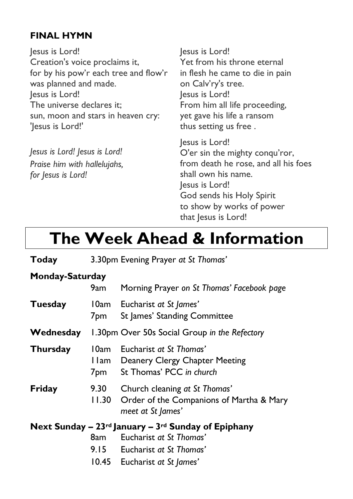### **FINAL HYMN**

Jesus is Lord! Creation's voice proclaims it, for by his pow'r each tree and flow'r was planned and made. Jesus is Lord! The universe declares it; sun, moon and stars in heaven cry: 'Jesus is Lord!'

*Jesus is Lord! Jesus is Lord! Praise him with hallelujahs, for Jesus is Lord!*

Jesus is Lord! Yet from his throne eternal in flesh he came to die in pain on Calv'ry's tree. Jesus is Lord! From him all life proceeding, yet gave his life a ransom thus setting us free .

Jesus is Lord! O'er sin the mighty conqu'ror, from death he rose, and all his foes shall own his name. Jesus is Lord! God sends his Holy Spirit to show by works of power that Jesus is Lord!

# **The Week Ahead & Information**

| Today           |               | 3.30pm Evening Prayer at St Thomas'                                                                                                                      |
|-----------------|---------------|----------------------------------------------------------------------------------------------------------------------------------------------------------|
| Monday-Saturday | 9am           | Morning Prayer on St Thomas' Facebook page                                                                                                               |
| <b>Tuesday</b>  | 7pm           | 10am Eucharist at St James'<br>St James' Standing Committee                                                                                              |
| Wednesday       |               | 1.30pm Over 50s Social Group in the Refectory                                                                                                            |
| <b>Thursday</b> | 10am<br>7pm   | Eucharist at St Thomas'<br>I Iam Deanery Clergy Chapter Meeting<br>St Thomas' PCC in church                                                              |
| Friday          | 9.30<br>11.30 | Church cleaning at St Thomas'<br>Order of the Companions of Martha & Mary<br>meet at St James'                                                           |
|                 | 8am -         | Next Sunday – $23^{rd}$ January – $3^{rd}$ Sunday of Epiphany<br>Eucharist at St Thomas'<br>9.15 Eucharist at St Thomas'<br>10.45 Eucharist at St James' |